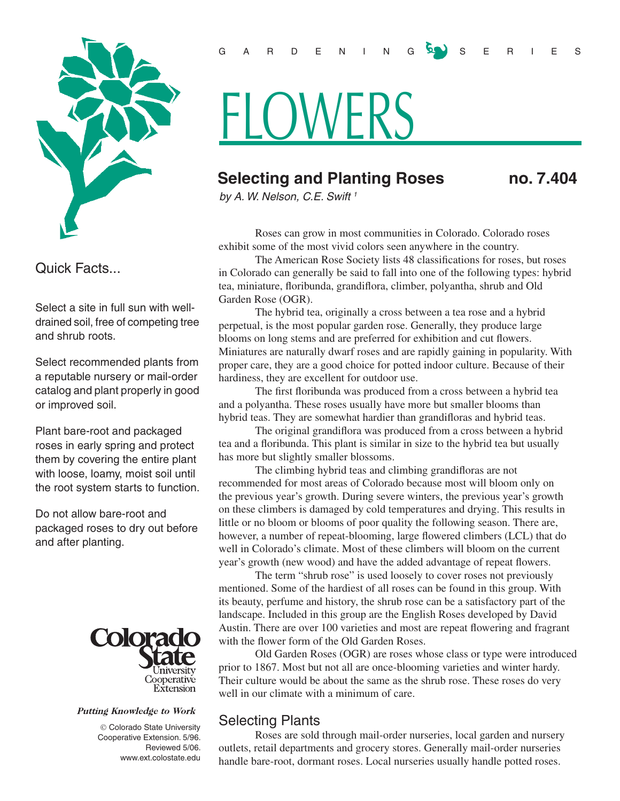

Quick Facts...

Select a site in full sun with welldrained soil, free of competing tree and shrub roots.

Select recommended plants from a reputable nursery or mail-order catalog and plant properly in good or improved soil.

Plant bare-root and packaged roses in early spring and protect them by covering the entire plant with loose, loamy, moist soil until the root system starts to function.

Do not allow bare-root and packaged roses to dry out before and after planting.



#### Putting Knowledge to Work

 Colorado State University Cooperative Extension. 5/96. Reviewed 5/06. www.ext.colostate.edu

## GARDEN INGSY SERIES

# **FLOWERS**

# **Selecting and Planting Roses no. 7.404**

*by A. W. Nelson, C.E. Swift 1*

Roses can grow in most communities in Colorado. Colorado roses exhibit some of the most vivid colors seen anywhere in the country.

The American Rose Society lists 48 classifications for roses, but roses in Colorado can generally be said to fall into one of the following types: hybrid tea, miniature, floribunda, grandiflora, climber, polyantha, shrub and Old Garden Rose (OGR).

The hybrid tea, originally a cross between a tea rose and a hybrid perpetual, is the most popular garden rose. Generally, they produce large blooms on long stems and are preferred for exhibition and cut flowers. Miniatures are naturally dwarf roses and are rapidly gaining in popularity. With proper care, they are a good choice for potted indoor culture. Because of their hardiness, they are excellent for outdoor use.

The first floribunda was produced from a cross between a hybrid tea and a polyantha. These roses usually have more but smaller blooms than hybrid teas. They are somewhat hardier than grandifloras and hybrid teas.

The original grandiflora was produced from a cross between a hybrid tea and a floribunda. This plant is similar in size to the hybrid tea but usually has more but slightly smaller blossoms.

The climbing hybrid teas and climbing grandifloras are not recommended for most areas of Colorado because most will bloom only on the previous year's growth. During severe winters, the previous year's growth on these climbers is damaged by cold temperatures and drying. This results in little or no bloom or blooms of poor quality the following season. There are, however, a number of repeat-blooming, large flowered climbers (LCL) that do well in Colorado's climate. Most of these climbers will bloom on the current year's growth (new wood) and have the added advantage of repeat flowers.

The term "shrub rose" is used loosely to cover roses not previously mentioned. Some of the hardiest of all roses can be found in this group. With its beauty, perfume and history, the shrub rose can be a satisfactory part of the landscape. Included in this group are the English Roses developed by David Austin. There are over 100 varieties and most are repeat flowering and fragrant with the flower form of the Old Garden Roses.

Old Garden Roses (OGR) are roses whose class or type were introduced prior to 1867. Most but not all are once-blooming varieties and winter hardy. Their culture would be about the same as the shrub rose. These roses do very well in our climate with a minimum of care.

## Selecting Plants

Roses are sold through mail-order nurseries, local garden and nursery outlets, retail departments and grocery stores. Generally mail-order nurseries handle bare-root, dormant roses. Local nurseries usually handle potted roses.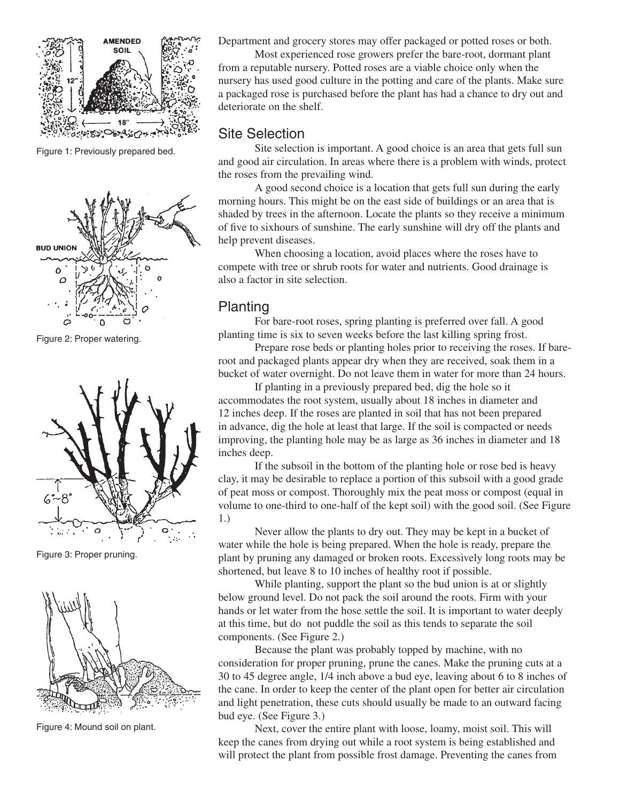

Figure 1: Previously prepared bed.



Figure 2: Proper watering.



Figure 3: Proper pruning.



Figure 4: Mound soil on plant.

Department and grocery stores may offer packaged or potted roses or both.

Most experienced rose growers prefer the bare-root, dormant plant from a reputable nursery. Potted roses are a viable choice only when the nursery has used good culture in the potting and care of the plants. Make sure a packaged rose is purchased before the plant has had a chance to dry out and deteriorate on the shelf.

### Site Selection

Site selection is important. A good choice is an area that gets full sun and good air circulation. In areas where there is a problem with winds, protect the roses from the prevailing wind.

A good second choice is a location that gets full sun during the early morning hours. This might be on the east side of buildings or an area that is shaded by trees in the afternoon. Locate the plants so they receive a minimum of five to sixhours of sunshine. The early sunshine will dry off the plants and help prevent diseases.

When choosing a location, avoid places where the roses have to compete with tree or shrub roots for water and nutrients. Good drainage is also a factor in site selection.

### Planting

For bare-root roses, spring planting is preferred over fall. A good planting time is six to seven weeks before the last killing spring frost.

Prepare rose beds or planting holes prior to receiving the roses. If bareroot and packaged plants appear dry when they are received, soak them in a bucket of water overnight. Do not leave them in water for more than 24 hours.

If planting in a previously prepared bed, dig the hole so it accommodates the root system, usually about 18 inches in diameter and 12 inches deep. If the roses are planted in soil that has not been prepared in advance, dig the hole at least that large. If the soil is compacted or needs improving, the planting hole may be as large as 36 inches in diameter and 18 inches deep.

If the subsoil in the bottom of the planting hole or rose bed is heavy clay, it may be desirable to replace a portion of this subsoil with a good grade of peat moss or compost. Thoroughly mix the peat moss or compost (equal in volume to one-third to one-half of the kept soil) with the good soil. (See Figure 1.)

Never allow the plants to dry out. They may be kept in a bucket of water while the hole is being prepared. When the hole is ready, prepare the plant by pruning any damaged or broken roots. Excessively long roots may be shortened, but leave 8 to 10 inches of healthy root if possible.

While planting, support the plant so the bud union is at or slightly below ground level. Do not pack the soil around the roots. Firm with your hands or let water from the hose settle the soil. It is important to water deeply at this time, but do not puddle the soil as this tends to separate the soil components. (See Figure 2.)

Because the plant was probably topped by machine, with no consideration for proper pruning, prune the canes. Make the pruning cuts at a 30 to 45 degree angle, 1/4 inch above a bud eye, leaving about 6 to 8 inches of the cane. In order to keep the center of the plant open for better air circulation and light penetration, these cuts should usually be made to an outward facing bud eye. (See Figure 3.)

Next, cover the entire plant with loose, loamy, moist soil. This will keep the canes from drying out while a root system is being established and will protect the plant from possible frost damage. Preventing the canes from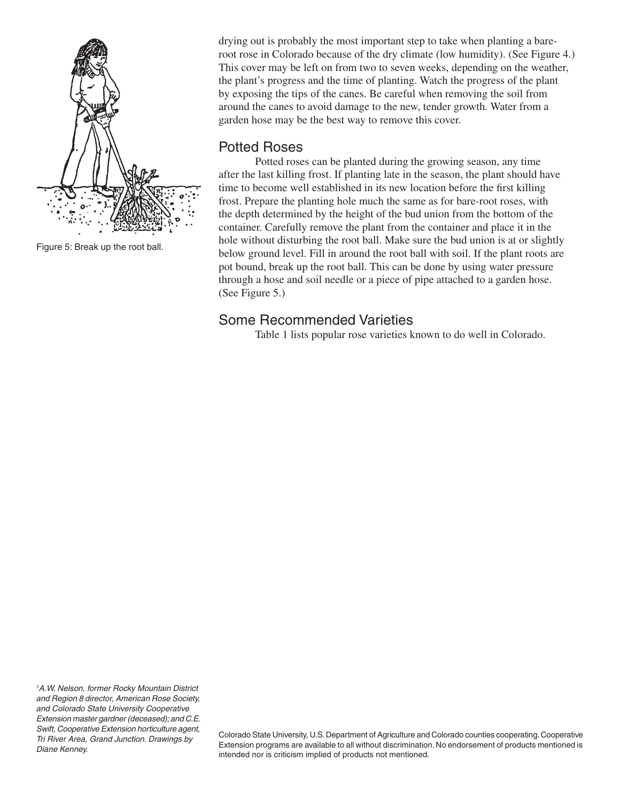

Figure 5: Break up the root ball.

drying out is probably the most important step to take when planting a bareroot rose in Colorado because of the dry climate (low humidity). (See Figure 4.) This cover may be left on from two to seven weeks, depending on the weather, the plant's progress and the time of planting. Watch the progress of the plant by exposing the tips of the canes. Be careful when removing the soil from around the canes to avoid damage to the new, tender growth. Water from a garden hose may be the best way to remove this cover.

## Potted Roses

Potted roses can be planted during the growing season, any time after the last killing frost. If planting late in the season, the plant should have time to become well established in its new location before the first killing frost. Prepare the planting hole much the same as for bare-root roses, with the depth determined by the height of the bud union from the bottom of the container. Carefully remove the plant from the container and place it in the hole without disturbing the root ball. Make sure the bud union is at or slightly below ground level. Fill in around the root ball with soil. If the plant roots are pot bound, break up the root ball. This can be done by using water pressure through a hose and soil needle or a piece of pipe attached to a garden hose. (See Figure 5.)

## Some Recommended Varieties

Table 1 lists popular rose varieties known to do well in Colorado.

Colorado State University, U.S. Department of Agriculture and Colorado counties cooperating. Cooperative Extension programs are available to all without discrimination. No endorsement of products mentioned is intended nor is criticism implied of products not mentioned.

*<sup>1</sup> A.W. Nelson, former Rocky Mountain District and Region 8 director, American Rose Society, and Colorado State University Cooperative Extension master gardner (deceased); and C.E. Swift, Cooperative Extension horticulture agent, Tri River Area, Grand Junction. Drawings by Diane Kenney.*